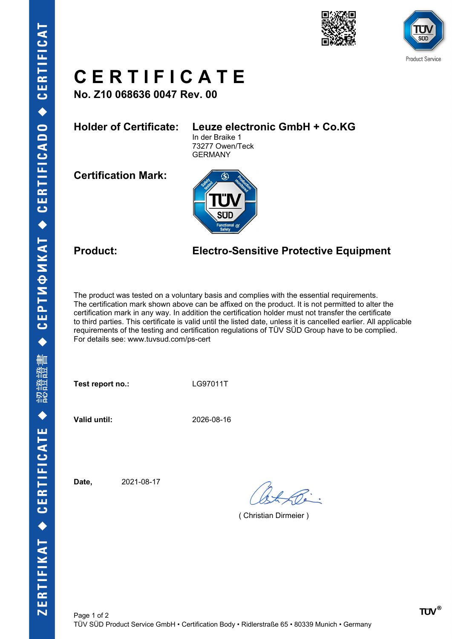



## **C E R T I F I C A T E**

**No. Z10 068636 0047 Rev. 00**

### **Holder of Certificate: Leuze electronic GmbH + Co.KG**

In der Braike 1 73277 Owen/Teck GERMANY

**Certification Mark:**



### **Product: Electro-Sensitive Protective Equipment**

The product was tested on a voluntary basis and complies with the essential requirements. The certification mark shown above can be affixed on the product. It is not permitted to alter the certification mark in any way. In addition the certification holder must not transfer the certificate to third parties. This certificate is valid until the listed date, unless it is cancelled earlier. All applicable requirements of the testing and certification regulations of TÜV SÜD Group have to be complied. For details see: www.tuvsud.com/ps-cert

Test report no.: LG97011T

**Valid until:** 2026-08-16

**Date,** 2021-08-17

( Christian Dirmeier )